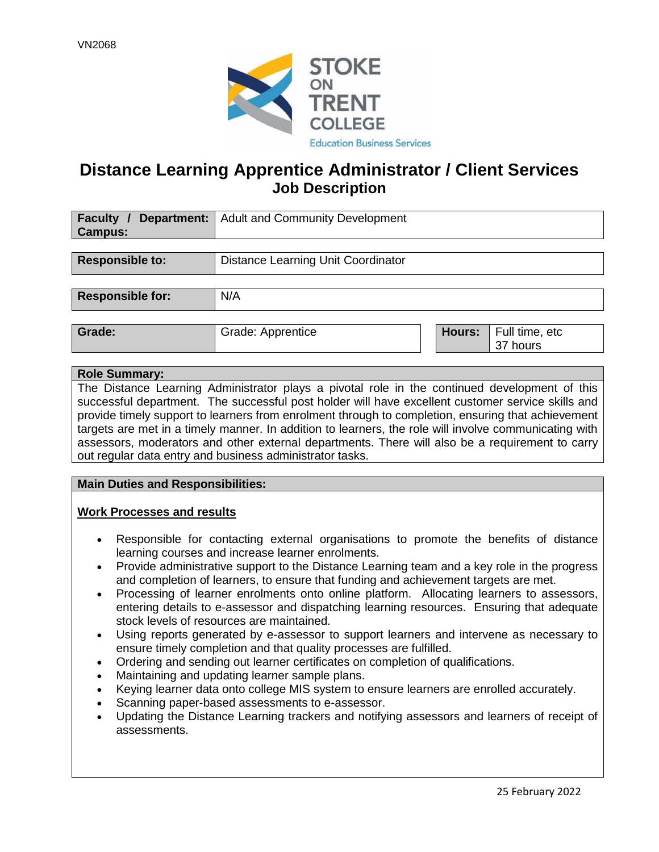

### **Distance Learning Apprentice Administrator / Client Services Job Description**

| <b>Faculty</b> /        | <b>Department:</b>   Adult and Community Development |        |                            |  |
|-------------------------|------------------------------------------------------|--------|----------------------------|--|
| <b>Campus:</b>          |                                                      |        |                            |  |
|                         |                                                      |        |                            |  |
| Responsible to:         | Distance Learning Unit Coordinator                   |        |                            |  |
|                         |                                                      |        |                            |  |
| <b>Responsible for:</b> | N/A                                                  |        |                            |  |
|                         |                                                      |        |                            |  |
| Grade:                  | Grade: Apprentice                                    | Hours: | Full time, etc<br>37 hours |  |

#### **Role Summary:**

The Distance Learning Administrator plays a pivotal role in the continued development of this successful department. The successful post holder will have excellent customer service skills and provide timely support to learners from enrolment through to completion, ensuring that achievement targets are met in a timely manner. In addition to learners, the role will involve communicating with assessors, moderators and other external departments. There will also be a requirement to carry out regular data entry and business administrator tasks.

#### **Main Duties and Responsibilities:**

#### **Work Processes and results**

- Responsible for contacting external organisations to promote the benefits of distance learning courses and increase learner enrolments.
- Provide administrative support to the Distance Learning team and a key role in the progress and completion of learners, to ensure that funding and achievement targets are met.
- Processing of learner enrolments onto online platform. Allocating learners to assessors, entering details to e-assessor and dispatching learning resources. Ensuring that adequate stock levels of resources are maintained.
- Using reports generated by e-assessor to support learners and intervene as necessary to ensure timely completion and that quality processes are fulfilled.
- Ordering and sending out learner certificates on completion of qualifications.
- Maintaining and updating learner sample plans.
- Keying learner data onto college MIS system to ensure learners are enrolled accurately.
- Scanning paper-based assessments to e-assessor.
- Updating the Distance Learning trackers and notifying assessors and learners of receipt of assessments.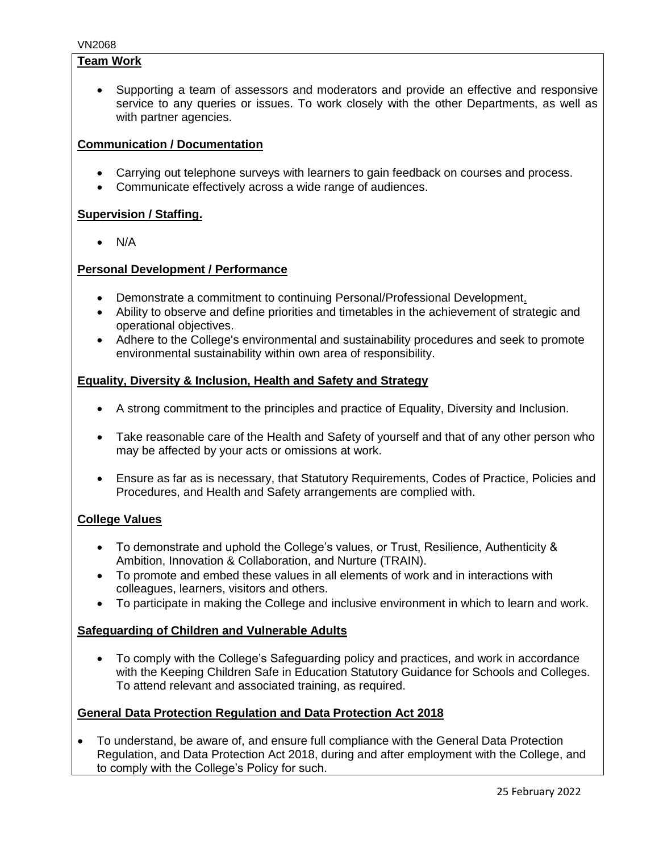#### **Team Work**

• Supporting a team of assessors and moderators and provide an effective and responsive service to any queries or issues. To work closely with the other Departments, as well as with partner agencies.

#### **Communication / Documentation**

- Carrying out telephone surveys with learners to gain feedback on courses and process.
- Communicate effectively across a wide range of audiences.

#### **Supervision / Staffing.**

• N/A

#### **Personal Development / Performance**

- Demonstrate a commitment to continuing Personal/Professional Development.
- Ability to observe and define priorities and timetables in the achievement of strategic and operational objectives.
- Adhere to the College's environmental and sustainability procedures and seek to promote environmental sustainability within own area of responsibility.

#### **Equality, Diversity & Inclusion, Health and Safety and Strategy**

- A strong commitment to the principles and practice of Equality, Diversity and Inclusion.
- Take reasonable care of the Health and Safety of yourself and that of any other person who may be affected by your acts or omissions at work.
- Ensure as far as is necessary, that Statutory Requirements, Codes of Practice, Policies and Procedures, and Health and Safety arrangements are complied with.

#### **College Values**

- To demonstrate and uphold the College's values, or Trust, Resilience, Authenticity & Ambition, Innovation & Collaboration, and Nurture (TRAIN).
- To promote and embed these values in all elements of work and in interactions with colleagues, learners, visitors and others.
- To participate in making the College and inclusive environment in which to learn and work.

#### **Safeguarding of Children and Vulnerable Adults**

• To comply with the College's Safeguarding policy and practices, and work in accordance with the Keeping Children Safe in Education Statutory Guidance for Schools and Colleges. To attend relevant and associated training, as required.

#### **General Data Protection Regulation and Data Protection Act 2018**

• To understand, be aware of, and ensure full compliance with the General Data Protection Regulation, and Data Protection Act 2018, during and after employment with the College, and to comply with the College's Policy for such.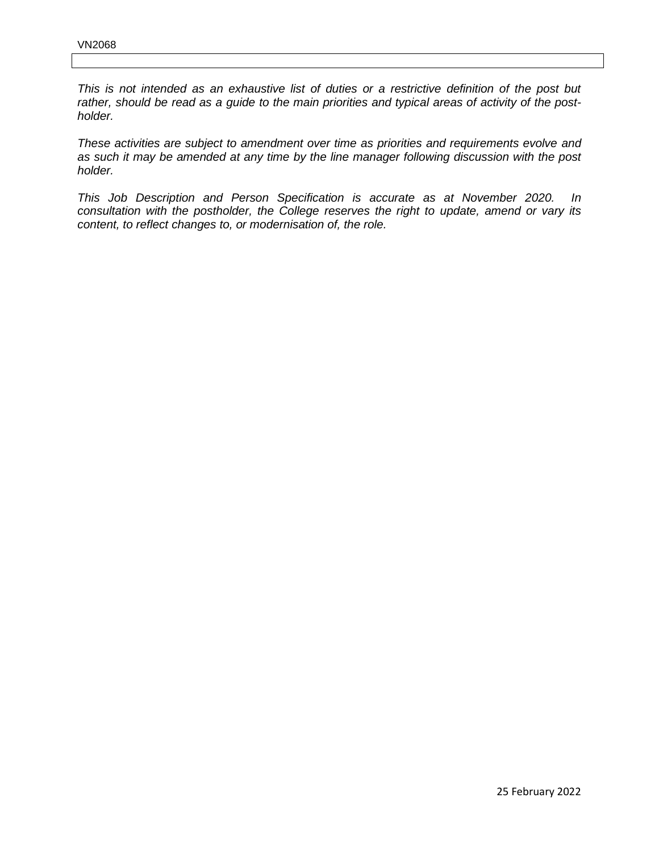*This is not intended as an exhaustive list of duties or a restrictive definition of the post but rather, should be read as a guide to the main priorities and typical areas of activity of the postholder.*

*These activities are subject to amendment over time as priorities and requirements evolve and as such it may be amended at any time by the line manager following discussion with the post holder.*

*This Job Description and Person Specification is accurate as at November 2020. In consultation with the postholder, the College reserves the right to update, amend or vary its content, to reflect changes to, or modernisation of, the role.*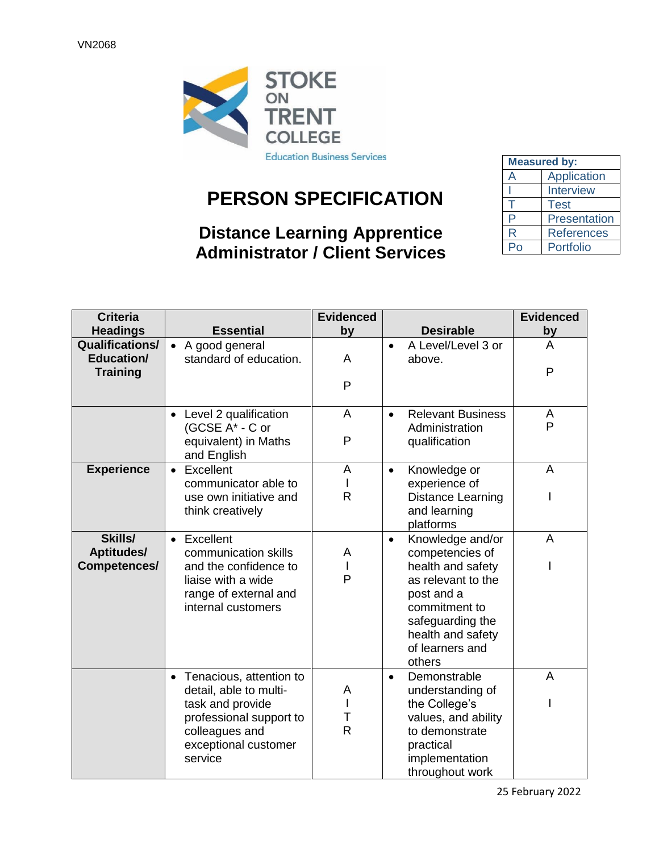

# **PERSON SPECIFICATION**

## **Distance Learning Apprentice Administrator / Client Services**

| <b>Measured by:</b> |                   |  |  |
|---------------------|-------------------|--|--|
| А                   | Application       |  |  |
|                     | <b>Interview</b>  |  |  |
|                     | <b>Test</b>       |  |  |
| P                   | Presentation      |  |  |
| R                   | <b>References</b> |  |  |
| D                   | Portfolio         |  |  |

| <b>Criteria</b>                                         |                                                                                                                                                         | <b>Evidenced</b>            |                                                                                                                                                                                                  | <b>Evidenced</b> |
|---------------------------------------------------------|---------------------------------------------------------------------------------------------------------------------------------------------------------|-----------------------------|--------------------------------------------------------------------------------------------------------------------------------------------------------------------------------------------------|------------------|
| <b>Headings</b>                                         | <b>Essential</b>                                                                                                                                        | <b>by</b>                   | <b>Desirable</b>                                                                                                                                                                                 | <u>by</u>        |
| <b>Qualifications/</b><br>Education/<br><b>Training</b> | • A good general<br>standard of education.                                                                                                              | A                           | A Level/Level 3 or<br>$\bullet$<br>above.                                                                                                                                                        | A<br>P           |
|                                                         |                                                                                                                                                         | P                           |                                                                                                                                                                                                  |                  |
|                                                         | • Level 2 qualification<br>(GCSE A* - C or                                                                                                              | A                           | <b>Relevant Business</b><br>$\bullet$<br>Administration                                                                                                                                          | A<br>P           |
|                                                         | equivalent) in Maths<br>and English                                                                                                                     | P                           | qualification                                                                                                                                                                                    |                  |
| <b>Experience</b>                                       | • Excellent<br>communicator able to                                                                                                                     | A                           | Knowledge or<br>$\bullet$<br>experience of                                                                                                                                                       | A                |
|                                                         | use own initiative and<br>think creatively                                                                                                              | $\mathsf{R}$                | <b>Distance Learning</b><br>and learning<br>platforms                                                                                                                                            |                  |
| Skills/<br><b>Aptitudes/</b><br>Competences/            | • Excellent<br>communication skills<br>and the confidence to<br>liaise with a wide<br>range of external and<br>internal customers                       | A<br>L<br>P                 | Knowledge and/or<br>$\bullet$<br>competencies of<br>health and safety<br>as relevant to the<br>post and a<br>commitment to<br>safeguarding the<br>health and safety<br>of learners and<br>others | A                |
|                                                         | • Tenacious, attention to<br>detail, able to multi-<br>task and provide<br>professional support to<br>colleagues and<br>exceptional customer<br>service | A<br>I<br>Τ<br>$\mathsf{R}$ | Demonstrable<br>$\bullet$<br>understanding of<br>the College's<br>values, and ability<br>to demonstrate<br>practical<br>implementation<br>throughout work                                        | A                |